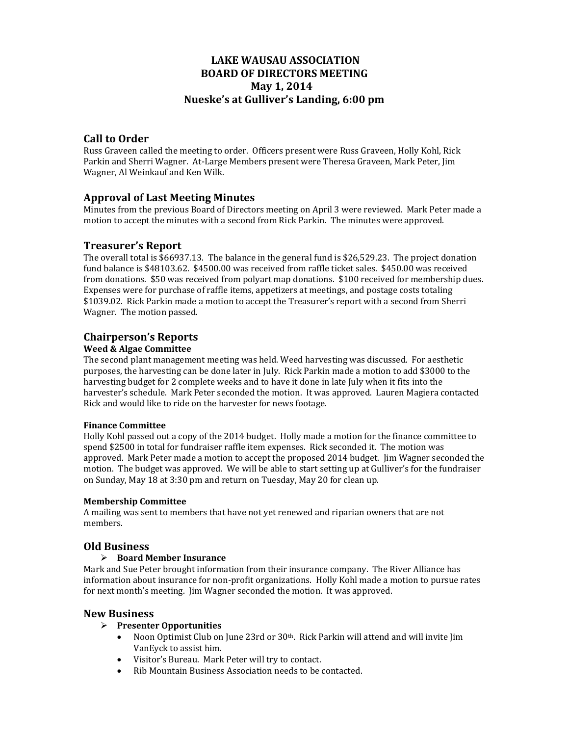# **LAKE WAUSAU ASSOCIATION BOARD OF DIRECTORS MEETING May 1, 2014 Nueske's at Gulliver's Landing, 6:00 pm**

## **Call to Order**

Russ Graveen called the meeting to order. Officers present were Russ Graveen, Holly Kohl, Rick Parkin and Sherri Wagner. At-Large Members present were Theresa Graveen, Mark Peter, Jim Wagner, Al Weinkauf and Ken Wilk.

## **Approval of Last Meeting Minutes**

Minutes from the previous Board of Directors meeting on April 3 were reviewed. Mark Peter made a motion to accept the minutes with a second from Rick Parkin. The minutes were approved.

## **Treasurer's Report**

The overall total is  $$66937.13$ . The balance in the general fund is  $$26,529.23$ . The project donation fund balance is \$48103.62. \$4500.00 was received from raffle ticket sales. \$450.00 was received from donations. \$50 was received from polyart map donations. \$100 received for membership dues. Expenses were for purchase of raffle items, appetizers at meetings, and postage costs totaling \$1039.02. Rick Parkin made a motion to accept the Treasurer's report with a second from Sherri Wagner. The motion passed.

# **Chairperson's Reports**

### **Weed & Algae Committee**

The second plant management meeting was held. Weed harvesting was discussed. For aesthetic purposes, the harvesting can be done later in July. Rick Parkin made a motion to add \$3000 to the harvesting budget for 2 complete weeks and to have it done in late [uly when it fits into the harvester's schedule. Mark Peter seconded the motion. It was approved. Lauren Magiera contacted Rick and would like to ride on the harvester for news footage.

#### **Finance Committee**

Holly Kohl passed out a copy of the 2014 budget. Holly made a motion for the finance committee to spend \$2500 in total for fundraiser raffle item expenses. Rick seconded it. The motion was approved. Mark Peter made a motion to accept the proposed 2014 budget. Jim Wagner seconded the motion. The budget was approved. We will be able to start setting up at Gulliver's for the fundraiser on Sunday, May 18 at 3:30 pm and return on Tuesday, May 20 for clean up.

#### **Membership Committee**

A mailing was sent to members that have not yet renewed and riparian owners that are not members. 

## **Old Business**

#### **Board Member Insurance**

Mark and Sue Peter brought information from their insurance company. The River Alliance has information about insurance for non-profit organizations. Holly Kohl made a motion to pursue rates for next month's meeting. Jim Wagner seconded the motion. It was approved.

## **New Business**

#### **Presenter Opportunities**

- Noon Optimist Club on June 23rd or  $30<sup>th</sup>$ . Rick Parkin will attend and will invite Jim VanEyck to assist him.
- Visitor's Bureau. Mark Peter will try to contact.
- Rib Mountain Business Association needs to be contacted.